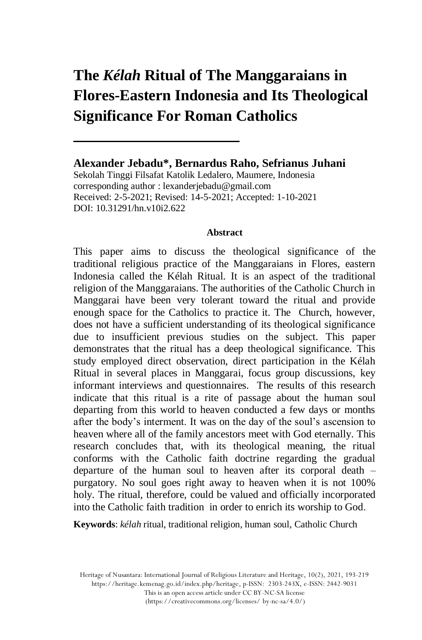# **The** *Kélah* **Ritual of The Manggaraians in Flores-Eastern Indonesia and Its Theological Significance For Roman Catholics**

**Alexander Jebadu\*, Bernardus Raho, Sefrianus Juhani** Sekolah Tinggi Filsafat Katolik Ledalero, Maumere, Indonesia corresponding author : lexanderjebadu@gmail.com Received: 2-5-2021; Revised: 14-5-2021; Accepted: 1-10-2021 DOI: 10.31291/hn.v10i2.622

#### **Abstract**

This paper aims to discuss the theological significance of the traditional religious practice of the Manggaraians in Flores, eastern Indonesia called the Kélah Ritual. It is an aspect of the traditional religion of the Manggaraians. The authorities of the Catholic Church in Manggarai have been very tolerant toward the ritual and provide enough space for the Catholics to practice it. The Church, however, does not have a sufficient understanding of its theological significance due to insufficient previous studies on the subject. This paper demonstrates that the ritual has a deep theological significance. This study employed direct observation, direct participation in the Kélah Ritual in several places in Manggarai, focus group discussions, key informant interviews and questionnaires. The results of this research indicate that this ritual is a rite of passage about the human soul departing from this world to heaven conducted a few days or months after the body's interment. It was on the day of the soul's ascension to heaven where all of the family ancestors meet with God eternally. This research concludes that, with its theological meaning, the ritual conforms with the Catholic faith doctrine regarding the gradual departure of the human soul to heaven after its corporal death – purgatory. No soul goes right away to heaven when it is not 100% holy. The ritual, therefore, could be valued and officially incorporated into the Catholic faith tradition in order to enrich its worship to God.

**Keywords**: *kélah* ritual, traditional religion, human soul, Catholic Church

(https://creativecommons.org/licenses/ by-nc-sa/4.0/)

Heritage of Nusantara: International Journal of Religious Literature and Heritage, 10(2), 2021, 193-219 https://heritage.kemenag.go.id/index.php/heritage, p-ISSN: [2303-243X,](http://issn.pdii.lipi.go.id/issn.cgi?daftar&1365040777&1&&) e-ISSN[: 2442-9031](http://issn.pdii.lipi.go.id/issn.cgi?daftar&1427267337&1&&)

This is an open access article under CC BY-NC-SA license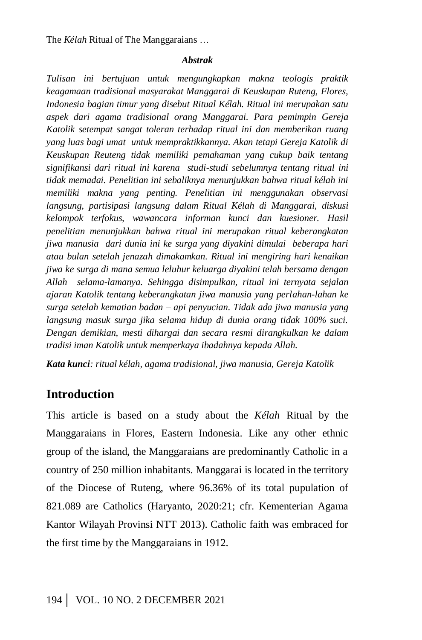#### *Abstrak*

*Tulisan ini bertujuan untuk mengungkapkan makna teologis praktik keagamaan tradisional masyarakat Manggarai di Keuskupan Ruteng, Flores, Indonesia bagian timur yang disebut Ritual Kélah. Ritual ini merupakan satu aspek dari agama tradisional orang Manggarai. Para pemimpin Gereja Katolik setempat sangat toleran terhadap ritual ini dan memberikan ruang yang luas bagi umat untuk mempraktikkannya. Akan tetapi Gereja Katolik di Keuskupan Reuteng tidak memiliki pemahaman yang cukup baik tentang signifikansi dari ritual ini karena studi-studi sebelumnya tentang ritual ini tidak memadai. Penelitian ini sebaliknya menunjukkan bahwa ritual kélah ini memiliki makna yang penting. Penelitian ini menggunakan observasi langsung, partisipasi langsung dalam Ritual Kélah di Manggarai, diskusi kelompok terfokus, wawancara informan kunci dan kuesioner. Hasil penelitian menunjukkan bahwa ritual ini merupakan ritual keberangkatan jiwa manusia dari dunia ini ke surga yang diyakini dimulai beberapa hari atau bulan setelah jenazah dimakamkan. Ritual ini mengiring hari kenaikan jiwa ke surga di mana semua leluhur keluarga diyakini telah bersama dengan Allah selama-lamanya. Sehingga disimpulkan, ritual ini ternyata sejalan ajaran Katolik tentang keberangkatan jiwa manusia yang perlahan-lahan ke surga setelah kematian badan – api penyucian. Tidak ada jiwa manusia yang langsung masuk surga jika selama hidup di dunia orang tidak 100% suci. Dengan demikian, mesti dihargai dan secara resmi dirangkulkan ke dalam tradisi iman Katolik untuk memperkaya ibadahnya kepada Allah.*

*Kata kunci: ritual kélah, agama tradisional, jiwa manusia, Gereja Katolik*

## **Introduction**

This article is based on a study about the *Kélah* Ritual by the Manggaraians in Flores, Eastern Indonesia. Like any other ethnic group of the island, the Manggaraians are predominantly Catholic in a country of 250 million inhabitants. Manggarai is located in the territory of the Diocese of Ruteng, where 96.36% of its total pupulation of 821.089 are Catholics (Haryanto, 2020:21; cfr. Kementerian Agama Kantor Wilayah Provinsi NTT 2013). Catholic faith was embraced for the first time by the Manggaraians in 1912.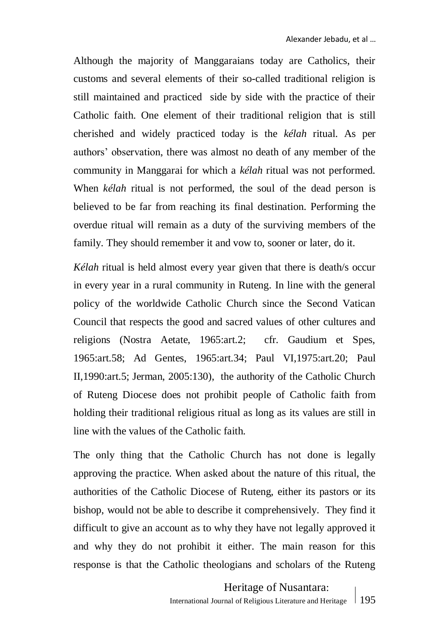Although the majority of Manggaraians today are Catholics, their customs and several elements of their so-called traditional religion is still maintained and practiced side by side with the practice of their Catholic faith. One element of their traditional religion that is still cherished and widely practiced today is the *kélah* ritual. As per authors' observation, there was almost no death of any member of the community in Manggarai for which a *kélah* ritual was not performed. When *kélah* ritual is not performed, the soul of the dead person is believed to be far from reaching its final destination. Performing the overdue ritual will remain as a duty of the surviving members of the family. They should remember it and vow to, sooner or later, do it.

*Kélah* ritual is held almost every year given that there is death/s occur in every year in a rural community in Ruteng. In line with the general policy of the worldwide Catholic Church since the Second Vatican Council that respects the good and sacred values of other cultures and religions (Nostra Aetate, 1965:art.2; cfr. Gaudium et Spes, 1965:art.58; Ad Gentes, 1965:art.34; Paul VI,1975:art.20; Paul II,1990:art.5; Jerman, 2005:130), the authority of the Catholic Church of Ruteng Diocese does not prohibit people of Catholic faith from holding their traditional religious ritual as long as its values are still in line with the values of the Catholic faith.

The only thing that the Catholic Church has not done is legally approving the practice. When asked about the nature of this ritual, the authorities of the Catholic Diocese of Ruteng, either its pastors or its bishop, would not be able to describe it comprehensively. They find it difficult to give an account as to why they have not legally approved it and why they do not prohibit it either. The main reason for this response is that the Catholic theologians and scholars of the Ruteng

> Heritage of Nusantara: International Journal of Religious Literature and Heritage 195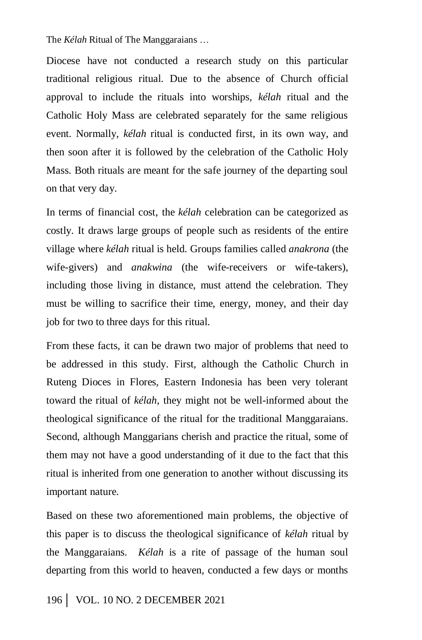Diocese have not conducted a research study on this particular traditional religious ritual. Due to the absence of Church official approval to include the rituals into worships, *kélah* ritual and the Catholic Holy Mass are celebrated separately for the same religious event. Normally, *kélah* ritual is conducted first, in its own way, and then soon after it is followed by the celebration of the Catholic Holy Mass. Both rituals are meant for the safe journey of the departing soul on that very day.

In terms of financial cost, the *kélah* celebration can be categorized as costly. It draws large groups of people such as residents of the entire village where *kélah* ritual is held. Groups families called *anakrona* (the wife-givers) and *anakwina* (the wife-receivers or wife-takers), including those living in distance, must attend the celebration. They must be willing to sacrifice their time, energy, money, and their day job for two to three days for this ritual.

From these facts, it can be drawn two major of problems that need to be addressed in this study. First, although the Catholic Church in Ruteng Dioces in Flores, Eastern Indonesia has been very tolerant toward the ritual of *kélah*, they might not be well-informed about the theological significance of the ritual for the traditional Manggaraians. Second, although Manggarians cherish and practice the ritual, some of them may not have a good understanding of it due to the fact that this ritual is inherited from one generation to another without discussing its important nature.

Based on these two aforementioned main problems, the objective of this paper is to discuss the theological significance of *kélah* ritual by the Manggaraians. *Kélah* is a rite of passage of the human soul departing from this world to heaven, conducted a few days or months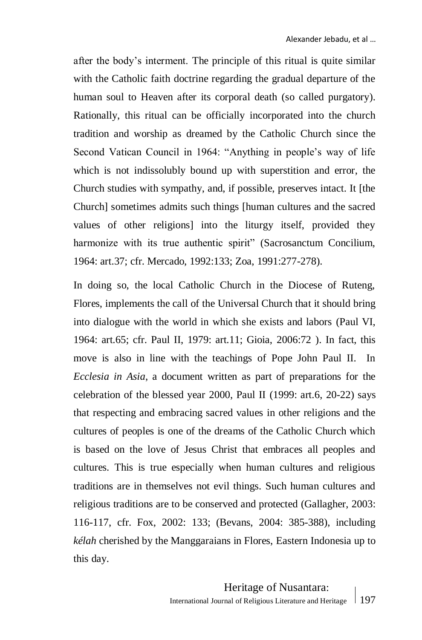after the body's interment. The principle of this ritual is quite similar with the Catholic faith doctrine regarding the gradual departure of the human soul to Heaven after its corporal death (so called purgatory). Rationally, this ritual can be officially incorporated into the church tradition and worship as dreamed by the Catholic Church since the Second Vatican Council in 1964: "Anything in people's way of life which is not indissolubly bound up with superstition and error, the Church studies with sympathy, and, if possible, preserves intact. It [the Church] sometimes admits such things [human cultures and the sacred values of other religions] into the liturgy itself, provided they harmonize with its true authentic spirit" (Sacrosanctum Concilium, 1964: art.37; cfr. Mercado, 1992:133; Zoa, 1991:277-278).

In doing so, the local Catholic Church in the Diocese of Ruteng, Flores, implements the call of the Universal Church that it should bring into dialogue with the world in which she exists and labors (Paul VI, 1964: art.65; cfr. Paul II, 1979: art.11; Gioia, 2006:72 ). In fact, this move is also in line with the teachings of Pope John Paul II. In *Ecclesia in Asia*, a document written as part of preparations for the celebration of the blessed year 2000, Paul II (1999: art.6, 20-22) says that respecting and embracing sacred values in other religions and the cultures of peoples is one of the dreams of the Catholic Church which is based on the love of Jesus Christ that embraces all peoples and cultures. This is true especially when human cultures and religious traditions are in themselves not evil things. Such human cultures and religious traditions are to be conserved and protected (Gallagher, 2003: 116-117, cfr. Fox, 2002: 133; (Bevans, 2004: 385-388), including *kélah* cherished by the Manggaraians in Flores, Eastern Indonesia up to this day.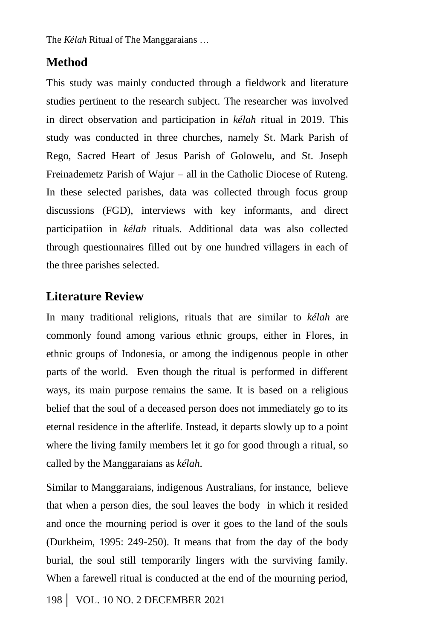# **Method**

This study was mainly conducted through a fieldwork and literature studies pertinent to the research subject. The researcher was involved in direct observation and participation in *kélah* ritual in 2019. This study was conducted in three churches, namely St. Mark Parish of Rego, Sacred Heart of Jesus Parish of Golowelu, and St. Joseph Freinademetz Parish of Wajur – all in the Catholic Diocese of Ruteng. In these selected parishes, data was collected through focus group discussions (FGD), interviews with key informants, and direct participatiion in *kélah* rituals. Additional data was also collected through questionnaires filled out by one hundred villagers in each of the three parishes selected.

## **Literature Review**

In many traditional religions, rituals that are similar to *kélah* are commonly found among various ethnic groups, either in Flores, in ethnic groups of Indonesia, or among the indigenous people in other parts of the world. Even though the ritual is performed in different ways, its main purpose remains the same. It is based on a religious belief that the soul of a deceased person does not immediately go to its eternal residence in the afterlife. Instead, it departs slowly up to a point where the living family members let it go for good through a ritual, so called by the Manggaraians as *kélah*.

Similar to Manggaraians, indigenous Australians, for instance, believe that when a person dies, the soul leaves the body in which it resided and once the mourning period is over it goes to the land of the souls (Durkheim, 1995: 249-250). It means that from the day of the body burial, the soul still temporarily lingers with the surviving family. When a farewell ritual is conducted at the end of the mourning period,

198VOL. 10 NO. 2 DECEMBER 2021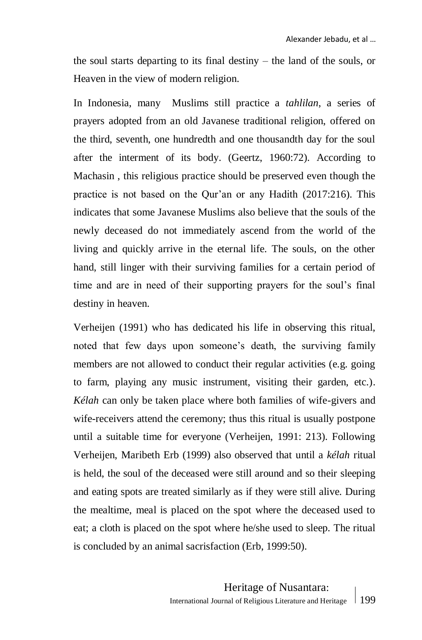the soul starts departing to its final destiny – the land of the souls, or Heaven in the view of modern religion.

In Indonesia, many Muslims still practice a *tahlilan*, a series of prayers adopted from an old Javanese traditional religion, offered on the third, seventh, one hundredth and one thousandth day for the soul after the interment of its body. (Geertz, 1960:72). According to Machasin , this religious practice should be preserved even though the practice is not based on the Qur'an or any Hadith (2017:216). This indicates that some Javanese Muslims also believe that the souls of the newly deceased do not immediately ascend from the world of the living and quickly arrive in the eternal life. The souls, on the other hand, still linger with their surviving families for a certain period of time and are in need of their supporting prayers for the soul's final destiny in heaven.

Verheijen (1991) who has dedicated his life in observing this ritual, noted that few days upon someone's death, the surviving family members are not allowed to conduct their regular activities (e.g. going to farm, playing any music instrument, visiting their garden, etc.). *Kélah* can only be taken place where both families of wife-givers and wife-receivers attend the ceremony; thus this ritual is usually postpone until a suitable time for everyone (Verheijen, 1991: 213). Following Verheijen, Maribeth Erb (1999) also observed that until a *kélah* ritual is held, the soul of the deceased were still around and so their sleeping and eating spots are treated similarly as if they were still alive. During the mealtime, meal is placed on the spot where the deceased used to eat; a cloth is placed on the spot where he/she used to sleep. The ritual is concluded by an animal sacrisfaction (Erb, 1999:50).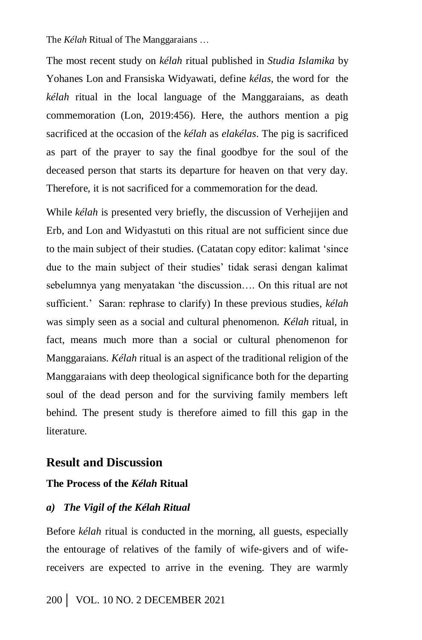The most recent study on *kélah* ritual published in *Studia Islamika* by Yohanes Lon and Fransiska Widyawati, define *kélas,* the word for the *kélah* ritual in the local language of the Manggaraians, as death commemoration (Lon, 2019:456). Here, the authors mention a pig sacrificed at the occasion of the *kélah* as *elakélas*. The pig is sacrificed as part of the prayer to say the final goodbye for the soul of the deceased person that starts its departure for heaven on that very day. Therefore, it is not sacrificed for a commemoration for the dead.

While *kélah* is presented very briefly, the discussion of Verhejijen and Erb, and Lon and Widyastuti on this ritual are not sufficient since due to the main subject of their studies. (Catatan copy editor: kalimat 'since due to the main subject of their studies' tidak serasi dengan kalimat sebelumnya yang menyatakan 'the discussion…. On this ritual are not sufficient.' Saran: rephrase to clarify) In these previous studies, *kélah*  was simply seen as a social and cultural phenomenon. *Kélah* ritual, in fact, means much more than a social or cultural phenomenon for Manggaraians. *Kélah* ritual is an aspect of the traditional religion of the Manggaraians with deep theological significance both for the departing soul of the dead person and for the surviving family members left behind. The present study is therefore aimed to fill this gap in the literature.

## **Result and Discussion**

#### **The Process of the** *Kélah* **Ritual**

#### *a) The Vigil of the Kélah Ritual*

Before *kélah* ritual is conducted in the morning, all guests, especially the entourage of relatives of the family of wife-givers and of wifereceivers are expected to arrive in the evening. They are warmly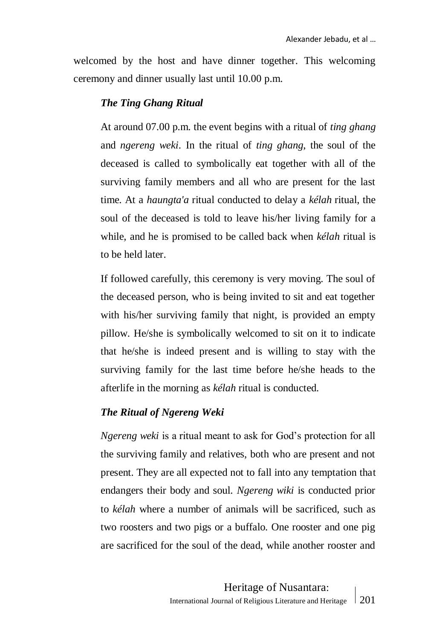welcomed by the host and have dinner together. This welcoming ceremony and dinner usually last until 10.00 p.m.

#### *The Ting Ghang Ritual*

At around 07.00 p.m. the event begins with a ritual of *ting ghang*  and *ngereng weki*. In the ritual of *ting ghang*, the soul of the deceased is called to symbolically eat together with all of the surviving family members and all who are present for the last time. At a *haungta'a* ritual conducted to delay a *kélah* ritual, the soul of the deceased is told to leave his/her living family for a while, and he is promised to be called back when *kélah* ritual is to be held later.

If followed carefully, this ceremony is very moving. The soul of the deceased person, who is being invited to sit and eat together with his/her surviving family that night, is provided an empty pillow. He/she is symbolically welcomed to sit on it to indicate that he/she is indeed present and is willing to stay with the surviving family for the last time before he/she heads to the afterlife in the morning as *kélah* ritual is conducted.

#### *The Ritual of Ngereng Weki*

*Ngereng weki* is a ritual meant to ask for God's protection for all the surviving family and relatives, both who are present and not present. They are all expected not to fall into any temptation that endangers their body and soul. *Ngereng wiki* is conducted prior to *kélah* where a number of animals will be sacrificed, such as two roosters and two pigs or a buffalo. One rooster and one pig are sacrificed for the soul of the dead, while another rooster and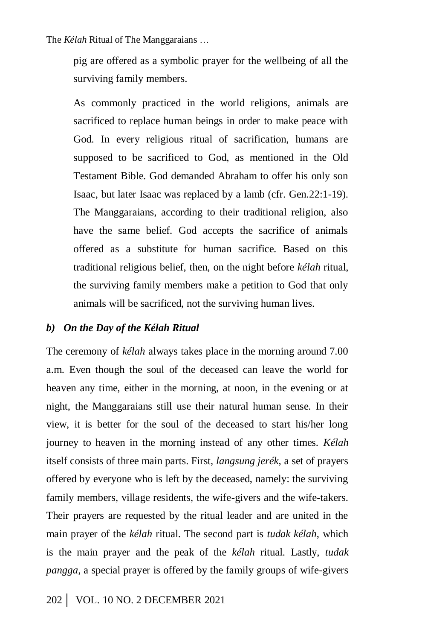pig are offered as a symbolic prayer for the wellbeing of all the surviving family members.

As commonly practiced in the world religions, animals are sacrificed to replace human beings in order to make peace with God. In every religious ritual of sacrification, humans are supposed to be sacrificed to God, as mentioned in the Old Testament Bible. God demanded Abraham to offer his only son Isaac, but later Isaac was replaced by a lamb (cfr. Gen.22:1-19). The Manggaraians, according to their traditional religion, also have the same belief. God accepts the sacrifice of animals offered as a substitute for human sacrifice. Based on this traditional religious belief, then, on the night before *kélah* ritual, the surviving family members make a petition to God that only animals will be sacrificed, not the surviving human lives.

#### *b) On the Day of the Kélah Ritual*

The ceremony of *kélah* always takes place in the morning around 7.00 a.m. Even though the soul of the deceased can leave the world for heaven any time, either in the morning, at noon, in the evening or at night, the Manggaraians still use their natural human sense. In their view, it is better for the soul of the deceased to start his/her long journey to heaven in the morning instead of any other times. *Kélah*  itself consists of three main parts. First, *langsung jerék*, a set of prayers offered by everyone who is left by the deceased, namely: the surviving family members, village residents, the wife-givers and the wife-takers. Their prayers are requested by the ritual leader and are united in the main prayer of the *kélah* ritual. The second part is *tudak kélah*, which is the main prayer and the peak of the *kélah* ritual. Lastly, *tudak pangga*, a special prayer is offered by the family groups of wife-givers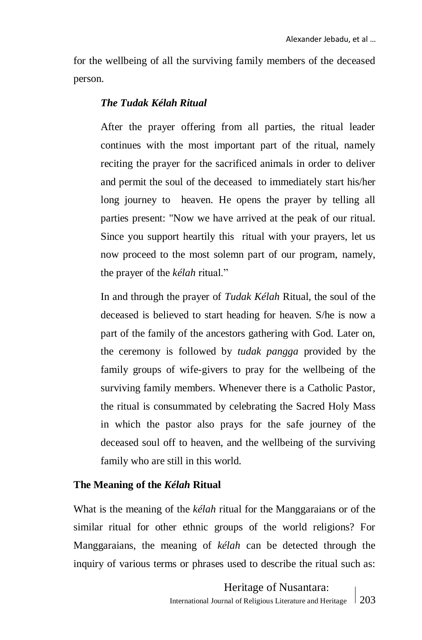for the wellbeing of all the surviving family members of the deceased person.

#### *The Tudak Kélah Ritual*

After the prayer offering from all parties, the ritual leader continues with the most important part of the ritual, namely reciting the prayer for the sacrificed animals in order to deliver and permit the soul of the deceased to immediately start his/her long journey to heaven. He opens the prayer by telling all parties present: "Now we have arrived at the peak of our ritual. Since you support heartily this ritual with your prayers, let us now proceed to the most solemn part of our program, namely, the prayer of the *kélah* ritual."

In and through the prayer of *Tudak Kélah* Ritual, the soul of the deceased is believed to start heading for heaven. S/he is now a part of the family of the ancestors gathering with God. Later on, the ceremony is followed by *tudak pangga* provided by the family groups of wife-givers to pray for the wellbeing of the surviving family members. Whenever there is a Catholic Pastor, the ritual is consummated by celebrating the Sacred Holy Mass in which the pastor also prays for the safe journey of the deceased soul off to heaven, and the wellbeing of the surviving family who are still in this world.

#### **The Meaning of the** *Kélah* **Ritual**

What is the meaning of the *kélah* ritual for the Manggaraians or of the similar ritual for other ethnic groups of the world religions? For Manggaraians, the meaning of *kélah* can be detected through the inquiry of various terms or phrases used to describe the ritual such as: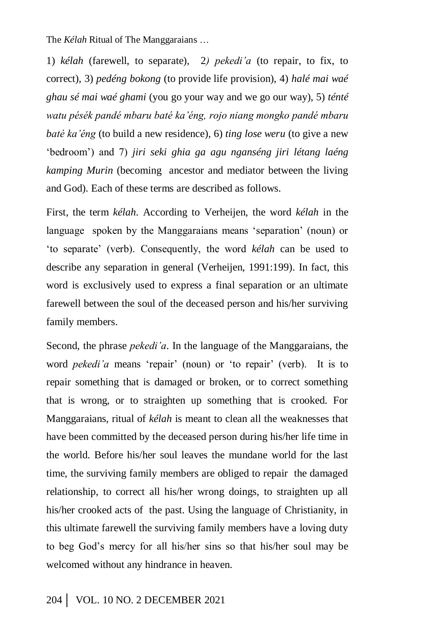1) *kélah* (farewell, to separate)*,* 2*) pekedi'a* (to repair, to fix, to correct), 3) *pedéng bokong* (to provide life provision), 4) *halé mai waé ghau sé mai waé ghami* (you go your way and we go our way), 5) *ténté watu pésék pandé mbaru baté ka'éng, rojo niang mongko pandé mbaru baté ka'éng* (to build a new residence)*,* 6) *ting lose weru* (to give a new 'bedroom') and 7) *jiri seki ghia ga agu nganséng jiri létang laéng kamping Murin* (becoming ancestor and mediator between the living and God). Each of these terms are described as follows.

First, the term *kélah*. According to Verheijen, the word *kélah* in the language spoken by the Manggaraians means 'separation' (noun) or 'to separate' (verb). Consequently, the word *kélah* can be used to describe any separation in general (Verheijen, 1991:199). In fact, this word is exclusively used to express a final separation or an ultimate farewell between the soul of the deceased person and his/her surviving family members.

Second, the phrase *pekedi'a*. In the language of the Manggaraians, the word *pekedi'a* means 'repair' (noun) or 'to repair' (verb). It is to repair something that is damaged or broken, or to correct something that is wrong, or to straighten up something that is crooked. For Manggaraians, ritual of *kélah* is meant to clean all the weaknesses that have been committed by the deceased person during his/her life time in the world. Before his/her soul leaves the mundane world for the last time, the surviving family members are obliged to repair the damaged relationship, to correct all his/her wrong doings, to straighten up all his/her crooked acts of the past. Using the language of Christianity, in this ultimate farewell the surviving family members have a loving duty to beg God's mercy for all his/her sins so that his/her soul may be welcomed without any hindrance in heaven.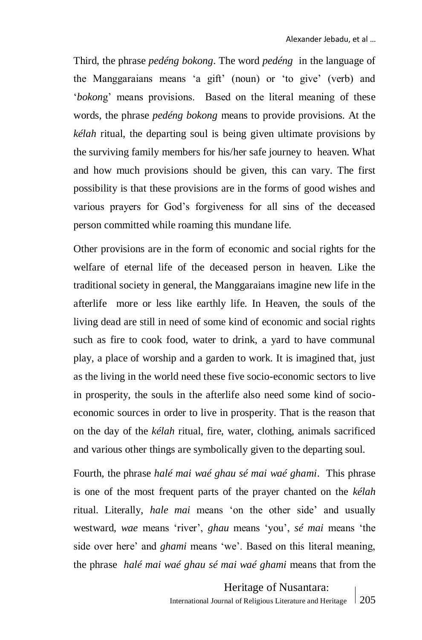Third, the phrase *pedéng bokong*. The word *pedéng* in the language of the Manggaraians means 'a gift' (noun) or 'to give' (verb) and '*bokon*g' means provisions. Based on the literal meaning of these words, the phrase *pedéng bokong* means to provide provisions. At the *kélah* ritual, the departing soul is being given ultimate provisions by the surviving family members for his/her safe journey to heaven. What and how much provisions should be given, this can vary. The first possibility is that these provisions are in the forms of good wishes and various prayers for God's forgiveness for all sins of the deceased person committed while roaming this mundane life.

Other provisions are in the form of economic and social rights for the welfare of eternal life of the deceased person in heaven. Like the traditional society in general, the Manggaraians imagine new life in the afterlife more or less like earthly life. In Heaven, the souls of the living dead are still in need of some kind of economic and social rights such as fire to cook food, water to drink, a yard to have communal play, a place of worship and a garden to work. It is imagined that, just as the living in the world need these five socio-economic sectors to live in prosperity, the souls in the afterlife also need some kind of socioeconomic sources in order to live in prosperity. That is the reason that on the day of the *kélah* ritual, fire, water, clothing, animals sacrificed and various other things are symbolically given to the departing soul.

Fourth, the phrase *halé mai waé ghau sé mai waé ghami*. This phrase is one of the most frequent parts of the prayer chanted on the *kélah* ritual. Literally, *hale mai* means 'on the other side' and usually westward, *wae* means 'river', *ghau* means 'you', *sé mai* means 'the side over here' and *ghami* means 'we'. Based on this literal meaning, the phrase *halé mai waé ghau sé mai waé ghami* means that from the

> Heritage of Nusantara: International Journal of Religious Literature and Heritage | 205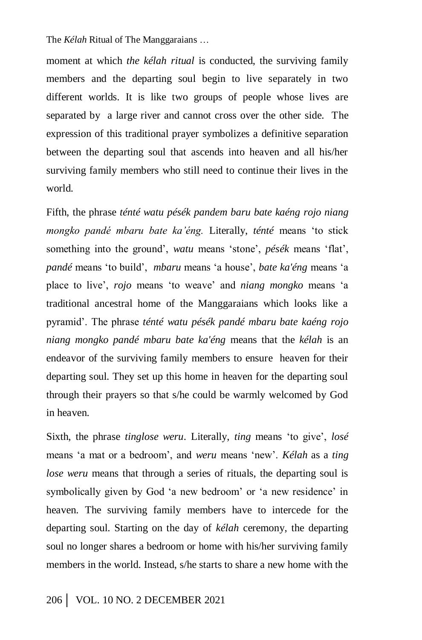moment at which *the kélah ritual* is conducted, the surviving family members and the departing soul begin to live separately in two different worlds. It is like two groups of people whose lives are separated by a large river and cannot cross over the other side. The expression of this traditional prayer symbolizes a definitive separation between the departing soul that ascends into heaven and all his/her surviving family members who still need to continue their lives in the world.

Fifth, the phrase *ténté watu pésék pandem baru bate kaéng rojo niang mongko pandé mbaru bate ka'éng.* Literally, *ténté* means 'to stick something into the ground', *watu* means 'stone', *pésék* means 'flat', *pandé* means 'to build', *mbaru* means 'a house', *bate ka'éng* means 'a place to live', *rojo* means 'to weave' and *niang mongko* means 'a traditional ancestral home of the Manggaraians which looks like a pyramid'. The phrase *ténté watu pésék pandé mbaru bate kaéng rojo niang mongko pandé mbaru bate ka'éng* means that the *kélah* is an endeavor of the surviving family members to ensure heaven for their departing soul. They set up this home in heaven for the departing soul through their prayers so that s/he could be warmly welcomed by God in heaven.

Sixth, the phrase *tinglose weru*. Literally, *ting* means 'to give', *losé* means 'a mat or a bedroom', and *weru* means 'new'. *Kélah* as a *ting lose weru* means that through a series of rituals, the departing soul is symbolically given by God 'a new bedroom' or 'a new residence' in heaven. The surviving family members have to intercede for the departing soul. Starting on the day of *kélah* ceremony, the departing soul no longer shares a bedroom or home with his/her surviving family members in the world. Instead, s/he starts to share a new home with the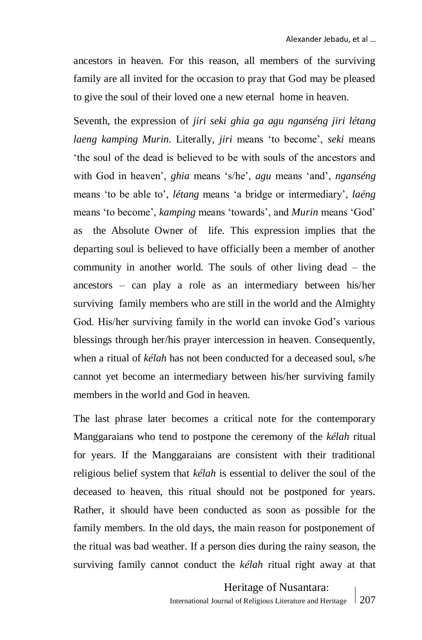ancestors in heaven. For this reason, all members of the surviving family are all invited for the occasion to pray that God may be pleased to give the soul of their loved one a new eternal home in heaven.

Seventh, the expression of *jiri seki ghia ga agu nganséng jiri létang laeng kamping Murin.* Literally, *jiri* means 'to become', *seki* means 'the soul of the dead is believed to be with souls of the ancestors and with God in heaven', *ghia* means 's/he', *agu* means 'and', *nganséng* means 'to be able to', *létang* means 'a bridge or intermediary', *laéng* means 'to become', *kamping* means 'towards', and *Murin* means 'God' as the Absolute Owner of life. This expression implies that the departing soul is believed to have officially been a member of another community in another world. The souls of other living dead – the ancestors – can play a role as an intermediary between his/her surviving family members who are still in the world and the Almighty God. His/her surviving family in the world can invoke God's various blessings through her/his prayer intercession in heaven. Consequently, when a ritual of *kélah* has not been conducted for a deceased soul, s/he cannot yet become an intermediary between his/her surviving family members in the world and God in heaven.

The last phrase later becomes a critical note for the contemporary Manggaraians who tend to postpone the ceremony of the *kélah* ritual for years. If the Manggaraians are consistent with their traditional religious belief system that *kélah* is essential to deliver the soul of the deceased to heaven, this ritual should not be postponed for years. Rather, it should have been conducted as soon as possible for the family members. In the old days, the main reason for postponement of the ritual was bad weather. If a person dies during the rainy season, the surviving family cannot conduct the *kélah* ritual right away at that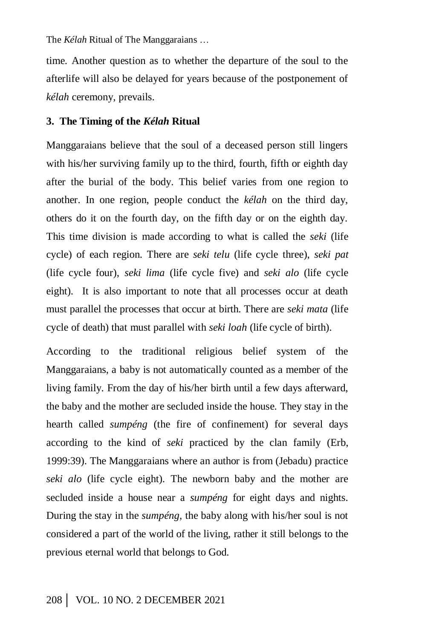time. Another question as to whether the departure of the soul to the afterlife will also be delayed for years because of the postponement of *kélah* ceremony, prevails.

#### **3. The Timing of the** *Kélah* **Ritual**

Manggaraians believe that the soul of a deceased person still lingers with his/her surviving family up to the third, fourth, fifth or eighth day after the burial of the body. This belief varies from one region to another. In one region, people conduct the *kélah* on the third day, others do it on the fourth day, on the fifth day or on the eighth day. This time division is made according to what is called the *seki* (life cycle) of each region. There are *seki telu* (life cycle three), *seki pat* (life cycle four), *seki lima* (life cycle five) and *seki alo* (life cycle eight). It is also important to note that all processes occur at death must parallel the processes that occur at birth. There are *seki mata* (life cycle of death) that must parallel with *seki loah* (life cycle of birth).

According to the traditional religious belief system of the Manggaraians, a baby is not automatically counted as a member of the living family. From the day of his/her birth until a few days afterward, the baby and the mother are secluded inside the house. They stay in the hearth called *sumpéng* (the fire of confinement) for several days according to the kind of *seki* practiced by the clan family (Erb, 1999:39). The Manggaraians where an author is from (Jebadu) practice *seki alo* (life cycle eight). The newborn baby and the mother are secluded inside a house near a *sumpéng* for eight days and nights. During the stay in the *sumpéng*, the baby along with his/her soul is not considered a part of the world of the living, rather it still belongs to the previous eternal world that belongs to God.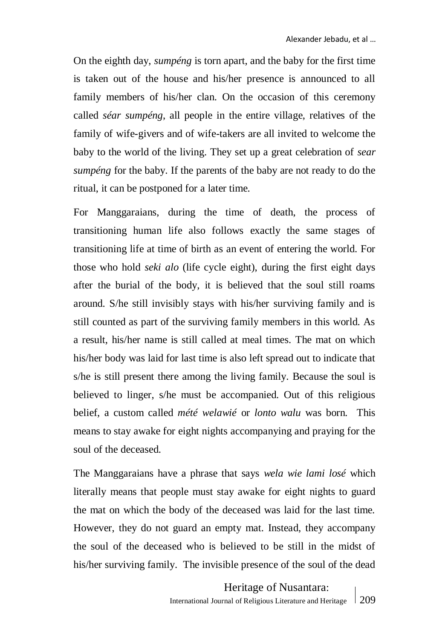On the eighth day, *sumpéng* is torn apart, and the baby for the first time is taken out of the house and his/her presence is announced to all family members of his/her clan. On the occasion of this ceremony called *séar sumpéng*, all people in the entire village, relatives of the family of wife-givers and of wife-takers are all invited to welcome the baby to the world of the living. They set up a great celebration of *sear sumpéng* for the baby. If the parents of the baby are not ready to do the ritual, it can be postponed for a later time.

For Manggaraians, during the time of death, the process of transitioning human life also follows exactly the same stages of transitioning life at time of birth as an event of entering the world. For those who hold *seki alo* (life cycle eight), during the first eight days after the burial of the body, it is believed that the soul still roams around. S/he still invisibly stays with his/her surviving family and is still counted as part of the surviving family members in this world. As a result, his/her name is still called at meal times. The mat on which his/her body was laid for last time is also left spread out to indicate that s/he is still present there among the living family. Because the soul is believed to linger, s/he must be accompanied. Out of this religious belief, a custom called *mété welawié* or *lonto walu* was born*.* This means to stay awake for eight nights accompanying and praying for the soul of the deceased.

The Manggaraians have a phrase that says *wela wie lami losé* which literally means that people must stay awake for eight nights to guard the mat on which the body of the deceased was laid for the last time. However, they do not guard an empty mat. Instead, they accompany the soul of the deceased who is believed to be still in the midst of his/her surviving family. The invisible presence of the soul of the dead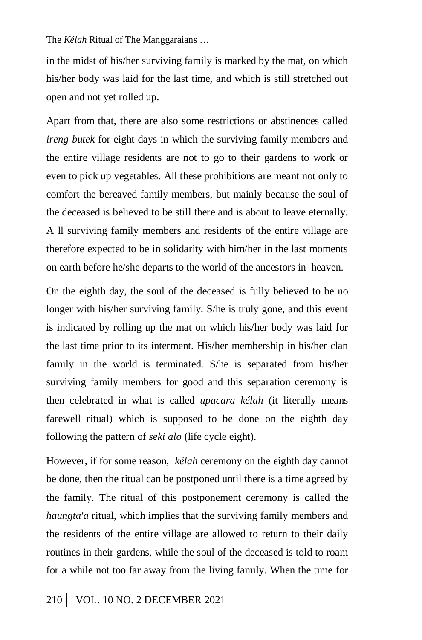in the midst of his/her surviving family is marked by the mat, on which his/her body was laid for the last time, and which is still stretched out open and not yet rolled up.

Apart from that, there are also some restrictions or abstinences called *ireng butek* for eight days in which the surviving family members and the entire village residents are not to go to their gardens to work or even to pick up vegetables. All these prohibitions are meant not only to comfort the bereaved family members, but mainly because the soul of the deceased is believed to be still there and is about to leave eternally. A ll surviving family members and residents of the entire village are therefore expected to be in solidarity with him/her in the last moments on earth before he/she departs to the world of the ancestors in heaven.

On the eighth day, the soul of the deceased is fully believed to be no longer with his/her surviving family. S/he is truly gone, and this event is indicated by rolling up the mat on which his/her body was laid for the last time prior to its interment. His/her membership in his/her clan family in the world is terminated. S/he is separated from his/her surviving family members for good and this separation ceremony is then celebrated in what is called *upacara kélah* (it literally means farewell ritual) which is supposed to be done on the eighth day following the pattern of *seki alo* (life cycle eight).

However, if for some reason, *kélah* ceremony on the eighth day cannot be done, then the ritual can be postponed until there is a time agreed by the family. The ritual of this postponement ceremony is called the *haungta'a* ritual, which implies that the surviving family members and the residents of the entire village are allowed to return to their daily routines in their gardens, while the soul of the deceased is told to roam for a while not too far away from the living family. When the time for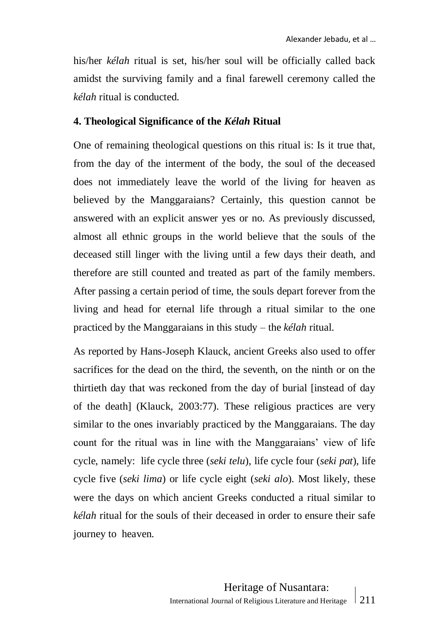his/her *kélah* ritual is set, his/her soul will be officially called back amidst the surviving family and a final farewell ceremony called the *kélah* ritual is conducted.

#### **4. Theological Significance of the** *Kélah* **Ritual**

One of remaining theological questions on this ritual is: Is it true that, from the day of the interment of the body, the soul of the deceased does not immediately leave the world of the living for heaven as believed by the Manggaraians? Certainly, this question cannot be answered with an explicit answer yes or no. As previously discussed, almost all ethnic groups in the world believe that the souls of the deceased still linger with the living until a few days their death, and therefore are still counted and treated as part of the family members. After passing a certain period of time, the souls depart forever from the living and head for eternal life through a ritual similar to the one practiced by the Manggaraians in this study – the *kélah* ritual.

As reported by Hans-Joseph Klauck, ancient Greeks also used to offer sacrifices for the dead on the third, the seventh, on the ninth or on the thirtieth day that was reckoned from the day of burial [instead of day of the death] (Klauck, 2003:77). These religious practices are very similar to the ones invariably practiced by the Manggaraians. The day count for the ritual was in line with the Manggaraians' view of life cycle, namely: life cycle three (*seki telu*), life cycle four (*seki pat*), life cycle five (*seki lima*) or life cycle eight (*seki alo*). Most likely, these were the days on which ancient Greeks conducted a ritual similar to *kélah* ritual for the souls of their deceased in order to ensure their safe journey to heaven.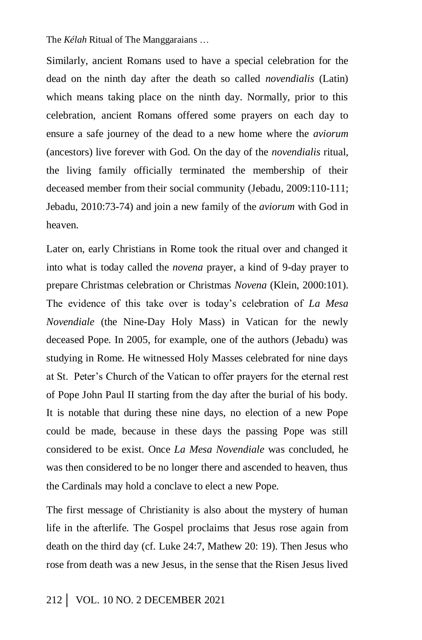Similarly, ancient Romans used to have a special celebration for the dead on the ninth day after the death so called *novendialis* (Latin) which means taking place on the ninth day. Normally, prior to this celebration, ancient Romans offered some prayers on each day to ensure a safe journey of the dead to a new home where the *aviorum* (ancestors) live forever with God. On the day of the *novendialis* ritual, the living family officially terminated the membership of their deceased member from their social community (Jebadu, 2009:110-111; Jebadu, 2010:73-74) and join a new family of the *aviorum* with God in heaven.

Later on, early Christians in Rome took the ritual over and changed it into what is today called the *novena* prayer, a kind of 9-day prayer to prepare Christmas celebration or Christmas *Novena* (Klein, 2000:101). The evidence of this take over is today's celebration of *La Mesa Novendiale* (the Nine-Day Holy Mass) in Vatican for the newly deceased Pope. In 2005, for example, one of the authors (Jebadu) was studying in Rome. He witnessed Holy Masses celebrated for nine days at St. Peter's Church of the Vatican to offer prayers for the eternal rest of Pope John Paul II starting from the day after the burial of his body. It is notable that during these nine days, no election of a new Pope could be made, because in these days the passing Pope was still considered to be exist. Once *La Mesa Novendiale* was concluded, he was then considered to be no longer there and ascended to heaven, thus the Cardinals may hold a conclave to elect a new Pope.

The first message of Christianity is also about the mystery of human life in the afterlife. The Gospel proclaims that Jesus rose again from death on the third day (cf. Luke 24:7, Mathew 20: 19). Then Jesus who rose from death was a new Jesus, in the sense that the Risen Jesus lived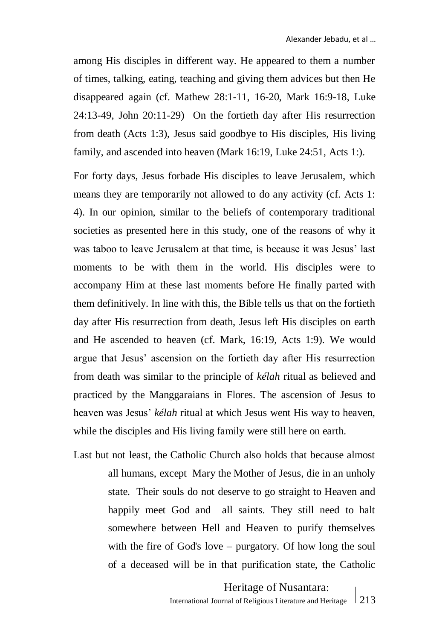among His disciples in different way. He appeared to them a number of times, talking, eating, teaching and giving them advices but then He disappeared again (cf. Mathew 28:1-11, 16-20, Mark 16:9-18, Luke 24:13-49, John 20:11-29) On the fortieth day after His resurrection from death (Acts 1:3), Jesus said goodbye to His disciples, His living family, and ascended into heaven (Mark 16:19, Luke 24:51, Acts 1:).

For forty days, Jesus forbade His disciples to leave Jerusalem, which means they are temporarily not allowed to do any activity (cf. Acts 1: 4). In our opinion, similar to the beliefs of contemporary traditional societies as presented here in this study, one of the reasons of why it was taboo to leave Jerusalem at that time, is because it was Jesus' last moments to be with them in the world. His disciples were to accompany Him at these last moments before He finally parted with them definitively. In line with this, the Bible tells us that on the fortieth day after His resurrection from death, Jesus left His disciples on earth and He ascended to heaven (cf. Mark, 16:19, Acts 1:9). We would argue that Jesus' ascension on the fortieth day after His resurrection from death was similar to the principle of *kélah* ritual as believed and practiced by the Manggaraians in Flores. The ascension of Jesus to heaven was Jesus' *kélah* ritual at which Jesus went His way to heaven, while the disciples and His living family were still here on earth.

Last but not least, the Catholic Church also holds that because almost all humans, except Mary the Mother of Jesus, die in an unholy state. Their souls do not deserve to go straight to Heaven and happily meet God and all saints. They still need to halt somewhere between Hell and Heaven to purify themselves with the fire of God's love – purgatory. Of how long the soul of a deceased will be in that purification state, the Catholic

> Heritage of Nusantara: International Journal of Religious Literature and Heritage 213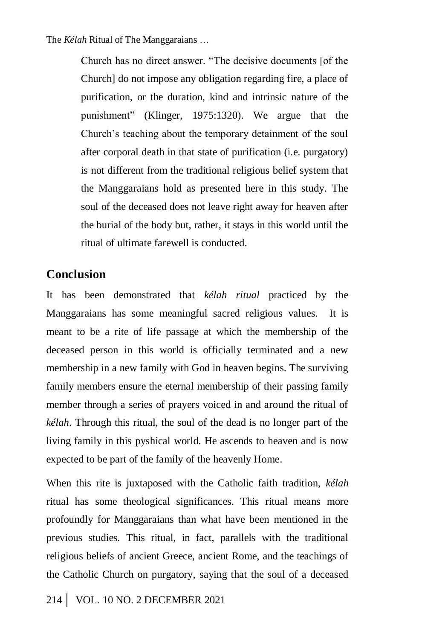Church has no direct answer. "The decisive documents [of the Church] do not impose any obligation regarding fire, a place of purification, or the duration, kind and intrinsic nature of the punishment" (Klinger, 1975:1320). We argue that the Church's teaching about the temporary detainment of the soul after corporal death in that state of purification (i.e. purgatory) is not different from the traditional religious belief system that the Manggaraians hold as presented here in this study. The soul of the deceased does not leave right away for heaven after the burial of the body but, rather, it stays in this world until the ritual of ultimate farewell is conducted.

## **Conclusion**

It has been demonstrated that *kélah ritual* practiced by the Manggaraians has some meaningful sacred religious values. It is meant to be a rite of life passage at which the membership of the deceased person in this world is officially terminated and a new membership in a new family with God in heaven begins. The surviving family members ensure the eternal membership of their passing family member through a series of prayers voiced in and around the ritual of *kélah*. Through this ritual, the soul of the dead is no longer part of the living family in this pyshical world. He ascends to heaven and is now expected to be part of the family of the heavenly Home.

When this rite is juxtaposed with the Catholic faith tradition, *kélah*  ritual has some theological significances. This ritual means more profoundly for Manggaraians than what have been mentioned in the previous studies. This ritual, in fact, parallels with the traditional religious beliefs of ancient Greece, ancient Rome, and the teachings of the Catholic Church on purgatory, saying that the soul of a deceased

214VOL. 10 NO. 2 DECEMBER 2021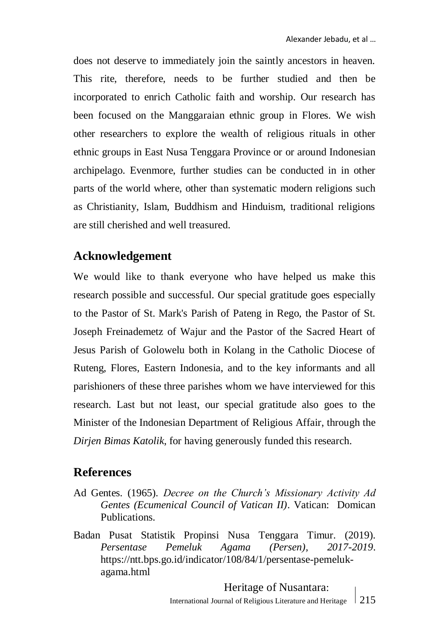does not deserve to immediately join the saintly ancestors in heaven. This rite, therefore, needs to be further studied and then be incorporated to enrich Catholic faith and worship. Our research has been focused on the Manggaraian ethnic group in Flores. We wish other researchers to explore the wealth of religious rituals in other ethnic groups in East Nusa Tenggara Province or or around Indonesian archipelago. Evenmore, further studies can be conducted in in other parts of the world where, other than systematic modern religions such as Christianity, Islam, Buddhism and Hinduism, traditional religions are still cherished and well treasured.

## **Acknowledgement**

We would like to thank everyone who have helped us make this research possible and successful. Our special gratitude goes especially to the Pastor of St. Mark's Parish of Pateng in Rego, the Pastor of St. Joseph Freinademetz of Wajur and the Pastor of the Sacred Heart of Jesus Parish of Golowelu both in Kolang in the Catholic Diocese of Ruteng, Flores, Eastern Indonesia, and to the key informants and all parishioners of these three parishes whom we have interviewed for this research. Last but not least, our special gratitude also goes to the Minister of the Indonesian Department of Religious Affair, through the *Dirjen Bimas Katolik*, for having generously funded this research.

## **References**

- Ad Gentes. (1965). *Decree on the Church's Missionary Activity Ad Gentes (Ecumenical Council of Vatican II)*. Vatican: Domican Publications.
- Badan Pusat Statistik Propinsi Nusa Tenggara Timur. (2019). *Persentase Pemeluk Agama (Persen), 2017-2019*. https://ntt.bps.go.id/indicator/108/84/1/persentase-pemelukagama.html

 Heritage of Nusantara: International Journal of Religious Literature and Heritage 215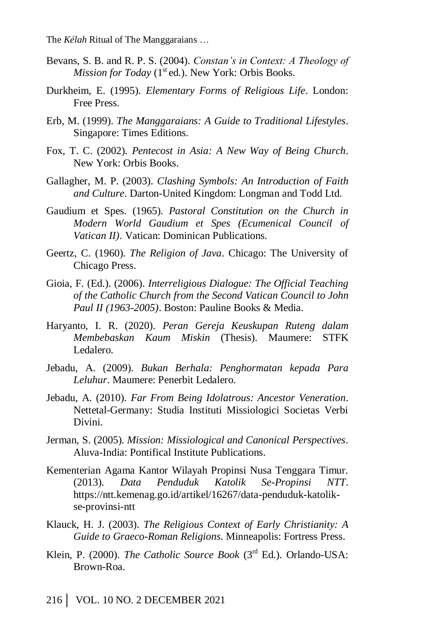- Bevans, S. B. and R. P. S. (2004). *Constan's in Context: A Theology of Mission for Today* (1<sup>st</sup> ed.). New York: Orbis Books.
- Durkheim, E. (1995). *Elementary Forms of Religious Life*. London: Free Press.
- Erb, M. (1999). *The Manggaraians: A Guide to Traditional Lifestyles*. Singapore: Times Editions.
- Fox, T. C. (2002). *Pentecost in Asia: A New Way of Being Church*. New York: Orbis Books.
- Gallagher, M. P. (2003). *Clashing Symbols: An Introduction of Faith and Culture*. Darton-United Kingdom: Longman and Todd Ltd.
- Gaudium et Spes. (1965). *Pastoral Constitution on the Church in Modern World Gaudium et Spes (Ecumenical Council of Vatican II)*. Vatican: Dominican Publications.
- Geertz, C. (1960). *The Religion of Java*. Chicago: The University of Chicago Press.
- Gioia, F. (Ed.). (2006). *Interreligious Dialogue: The Official Teaching of the Catholic Church from the Second Vatican Council to John Paul II (1963-2005)*. Boston: Pauline Books & Media.
- Haryanto, I. R. (2020). *Peran Gereja Keuskupan Ruteng dalam Membebaskan Kaum Miskin* (Thesis). Maumere: STFK Ledalero.
- Jebadu, A. (2009). *Bukan Berhala: Penghormatan kepada Para Leluhur*. Maumere: Penerbit Ledalero.
- Jebadu, A. (2010). *Far From Being Idolatrous: Ancestor Veneration*. Nettetal-Germany: Studia Instituti Missiologici Societas Verbi Divini.
- Jerman, S. (2005). *Mission: Missiological and Canonical Perspectives*. Aluva-India: Pontifical Institute Publications.
- Kementerian Agama Kantor Wilayah Propinsi Nusa Tenggara Timur. (2013). *Data Penduduk Katolik Se-Propinsi NTT*. https://ntt.kemenag.go.id/artikel/16267/data-penduduk-katolikse-provinsi-ntt
- Klauck, H. J. (2003). *The Religious Context of Early Christianity: A Guide to Graeco-Roman Religions*. Minneapolis: Fortress Press.
- Klein, P. (2000). *The Catholic Source Book* (3rd Ed.). Orlando-USA: Brown-Roa.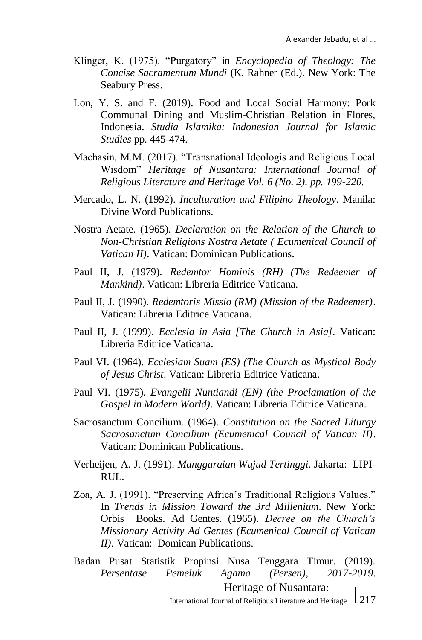- Klinger, K. (1975). "Purgatory" in *Encyclopedia of Theology: The Concise Sacramentum Mundi* (K. Rahner (Ed.). New York: The Seabury Press.
- Lon, Y. S. and F. (2019). Food and Local Social Harmony: Pork Communal Dining and Muslim-Christian Relation in Flores, Indonesia. *Studia Islamika: Indonesian Journal for Islamic Studies* pp. 445-474.
- Machasin, M.M. (2017). "Transnational Ideologis and Religious Local Wisdom" *Heritage of Nusantara: International Journal of Religious Literature and Heritage Vol. 6 (No. 2). pp. 199-220.*
- Mercado, L. N. (1992). *Inculturation and Filipino Theology*. Manila: Divine Word Publications.
- Nostra Aetate. (1965). *Declaration on the Relation of the Church to Non-Christian Religions Nostra Aetate ( Ecumenical Council of Vatican II)*. Vatican: Dominican Publications.
- Paul II, J. (1979). *Redemtor Hominis (RH) (The Redeemer of Mankind)*. Vatican: Libreria Editrice Vaticana.
- Paul II, J. (1990). *Redemtoris Missio (RM) (Mission of the Redeemer)*. Vatican: Libreria Editrice Vaticana.
- Paul II, J. (1999). *Ecclesia in Asia [The Church in Asia]*. Vatican: Libreria Editrice Vaticana.
- Paul VI. (1964). *Ecclesiam Suam (ES) (The Church as Mystical Body of Jesus Christ*. Vatican: Libreria Editrice Vaticana.
- Paul VI. (1975). *Evangelii Nuntiandi (EN) (the Proclamation of the Gospel in Modern World)*. Vatican: Libreria Editrice Vaticana.
- Sacrosanctum Concilium. (1964). *Constitution on the Sacred Liturgy Sacrosanctum Concilium (Ecumenical Council of Vatican II)*. Vatican: Dominican Publications.
- Verheijen, A. J. (1991). *Manggaraian Wujud Tertinggi*. Jakarta: LIPI-RUL.
- Zoa, A. J. (1991). "Preserving Africa's Traditional Religious Values." In *Trends in Mission Toward the 3rd Millenium*. New York: Orbis Books. Ad Gentes. (1965). *Decree on the Church's Missionary Activity Ad Gentes (Ecumenical Council of Vatican II)*. Vatican: Domican Publications.
- Heritage of Nusantara: Badan Pusat Statistik Propinsi Nusa Tenggara Timur. (2019). *Persentase Pemeluk Agama (Persen), 2017-2019*.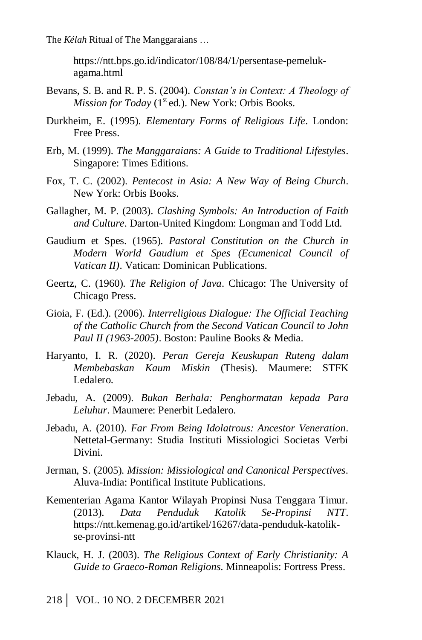https://ntt.bps.go.id/indicator/108/84/1/persentase-pemelukagama.html

- Bevans, S. B. and R. P. S. (2004). *Constan's in Context: A Theology of Mission for Today* (1<sup>st</sup> ed.). New York: Orbis Books.
- Durkheim, E. (1995). *Elementary Forms of Religious Life*. London: Free Press.
- Erb, M. (1999). *The Manggaraians: A Guide to Traditional Lifestyles*. Singapore: Times Editions.
- Fox, T. C. (2002). *Pentecost in Asia: A New Way of Being Church*. New York: Orbis Books.
- Gallagher, M. P. (2003). *Clashing Symbols: An Introduction of Faith and Culture*. Darton-United Kingdom: Longman and Todd Ltd.
- Gaudium et Spes. (1965). *Pastoral Constitution on the Church in Modern World Gaudium et Spes (Ecumenical Council of Vatican II)*. Vatican: Dominican Publications.
- Geertz, C. (1960). *The Religion of Java*. Chicago: The University of Chicago Press.
- Gioia, F. (Ed.). (2006). *Interreligious Dialogue: The Official Teaching of the Catholic Church from the Second Vatican Council to John Paul II (1963-2005)*. Boston: Pauline Books & Media.
- Haryanto, I. R. (2020). *Peran Gereja Keuskupan Ruteng dalam Membebaskan Kaum Miskin* (Thesis). Maumere: STFK Ledalero.
- Jebadu, A. (2009). *Bukan Berhala: Penghormatan kepada Para Leluhur*. Maumere: Penerbit Ledalero.
- Jebadu, A. (2010). *Far From Being Idolatrous: Ancestor Veneration*. Nettetal-Germany: Studia Instituti Missiologici Societas Verbi Divini.
- Jerman, S. (2005). *Mission: Missiological and Canonical Perspectives*. Aluva-India: Pontifical Institute Publications.
- Kementerian Agama Kantor Wilayah Propinsi Nusa Tenggara Timur. (2013). *Data Penduduk Katolik Se-Propinsi NTT*. https://ntt.kemenag.go.id/artikel/16267/data-penduduk-katolikse-provinsi-ntt
- Klauck, H. J. (2003). *The Religious Context of Early Christianity: A Guide to Graeco-Roman Religions*. Minneapolis: Fortress Press.